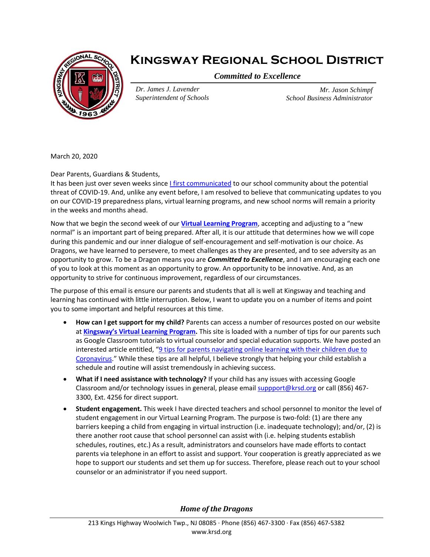

## **Kingsway Regional School District**

*Committed to Excellence*

*Dr. James J. Lavender Superintendent of Schools*

*Mr. Jason Schimpf School Business Administrator*

March 20, 2020

Dear Parents, Guardians & Students,

It has been just over seven weeks sinc[e I first communicated](https://www.krsd.org/cms/lib/NJ01912751/Centricity/Domain/121/nCoV%20Parent%20Information%20Letter%201.31.2020.pdf) to our school community about the potential threat of COVID-19. And, unlike any event before, I am resolved to believe that communicating updates to you on our COVID-19 preparedness plans, virtual learning programs, and new school norms will remain a priority in the weeks and months ahead.

Now that we begin the second week of our **[Virtual Learning Program](https://www.krsd.org/domain/434)**, accepting and adjusting to a "new normal" is an important part of being prepared. After all, it is our attitude that determines how we will cope during this pandemic and our inner dialogue of self-encouragement and self-motivation is our choice. As Dragons, we have learned to persevere, to meet challenges as they are presented, and to see adversity as an opportunity to grow. To be a Dragon means you are *Committed to Excellence*, and I am encouraging each one of you to look at this moment as an opportunity to grow. An opportunity to be innovative. And, as an opportunity to strive for continuous improvement, regardless of our circumstances.

The purpose of this email is ensure our parents and students that all is well at Kingsway and teaching and learning has continued with little interruption. Below, I want to update you on a number of items and point you to some important and helpful resources at this time.

- **How can I get support for my child?** Parents can access a number of resources posted on our website at **[Kingsway's Virtual Learning Program](https://www.krsd.org/domain/434).** This site is loaded with a number of tips for our parents such as Google Classroom tutorials to virtual counselor and special education supports. We have posted an interested article entitled, "[9 tips for parents navigating online learning with their](https://www.theladders.com/career-advice/tips-for-parents-online-learning-with-children) children due to [Coronavirus](https://www.theladders.com/career-advice/tips-for-parents-online-learning-with-children)." While these tips are all helpful, I believe strongly that helping your child establish a schedule and routine will assist tremendously in achieving success.
- **What if I need assistance with technology?** If your child has any issues with accessing Google Classroom and/or technology issues in general, please email [suppport@krsd.org](mailto:suppport@krsd.org) or call (856) 467- 3300, Ext. 4256 for direct support.
- **Student engagement.** This week I have directed teachers and school personnel to monitor the level of student engagement in our Virtual Learning Program. The purpose is two-fold: (1) are there any barriers keeping a child from engaging in virtual instruction (i.e. inadequate technology); and/or, (2) is there another root cause that school personnel can assist with (i.e. helping students establish schedules, routines, etc.) As a result, administrators and counselors have made efforts to contact parents via telephone in an effort to assist and support. Your cooperation is greatly appreciated as we hope to support our students and set them up for success. Therefore, please reach out to your school counselor or an administrator if you need support.

*Home of the Dragons*